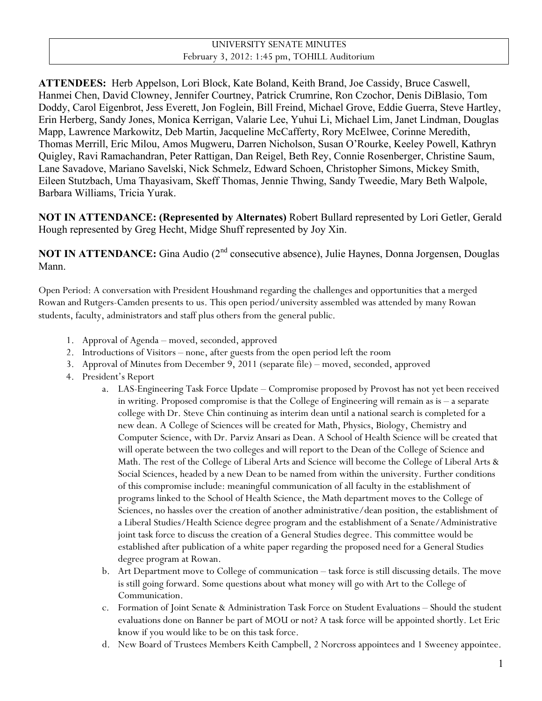## UNIVERSITY SENATE MINUTES February 3, 2012: 1:45 pm, TOHILL Auditorium

**ATTENDEES:** Herb Appelson, Lori Block, Kate Boland, Keith Brand, Joe Cassidy, Bruce Caswell, Hanmei Chen, David Clowney, Jennifer Courtney, Patrick Crumrine, Ron Czochor, Denis DiBlasio, Tom Doddy, Carol Eigenbrot, Jess Everett, Jon Foglein, Bill Freind, Michael Grove, Eddie Guerra, Steve Hartley, Erin Herberg, Sandy Jones, Monica Kerrigan, Valarie Lee, Yuhui Li, Michael Lim, Janet Lindman, Douglas Mapp, Lawrence Markowitz, Deb Martin, Jacqueline McCafferty, Rory McElwee, Corinne Meredith, Thomas Merrill, Eric Milou, Amos Mugweru, Darren Nicholson, Susan O'Rourke, Keeley Powell, Kathryn Quigley, Ravi Ramachandran, Peter Rattigan, Dan Reigel, Beth Rey, Connie Rosenberger, Christine Saum, Lane Savadove, Mariano Savelski, Nick Schmelz, Edward Schoen, Christopher Simons, Mickey Smith, Eileen Stutzbach, Uma Thayasivam, Skeff Thomas, Jennie Thwing, Sandy Tweedie, Mary Beth Walpole, Barbara Williams, Tricia Yurak.

**NOT IN ATTENDANCE: (Represented by Alternates)** Robert Bullard represented by Lori Getler, Gerald Hough represented by Greg Hecht, Midge Shuff represented by Joy Xin.

**NOT IN ATTENDANCE:** Gina Audio (2<sup>nd</sup> consecutive absence), Julie Haynes, Donna Jorgensen, Douglas Mann.

Open Period: A conversation with President Houshmand regarding the challenges and opportunities that a merged Rowan and Rutgers-Camden presents to us. This open period/university assembled was attended by many Rowan students, faculty, administrators and staff plus others from the general public.

- 1. Approval of Agenda moved, seconded, approved
- 2. Introductions of Visitors none, after guests from the open period left the room
- 3. Approval of Minutes from December 9, 2011 (separate file) moved, seconded, approved
- 4. President's Report
	- a. LAS-Engineering Task Force Update Compromise proposed by Provost has not yet been received in writing. Proposed compromise is that the College of Engineering will remain as is – a separate college with Dr. Steve Chin continuing as interim dean until a national search is completed for a new dean. A College of Sciences will be created for Math, Physics, Biology, Chemistry and Computer Science, with Dr. Parviz Ansari as Dean. A School of Health Science will be created that will operate between the two colleges and will report to the Dean of the College of Science and Math. The rest of the College of Liberal Arts and Science will become the College of Liberal Arts & Social Sciences, headed by a new Dean to be named from within the university. Further conditions of this compromise include: meaningful communication of all faculty in the establishment of programs linked to the School of Health Science, the Math department moves to the College of Sciences, no hassles over the creation of another administrative/dean position, the establishment of a Liberal Studies/Health Science degree program and the establishment of a Senate/Administrative joint task force to discuss the creation of a General Studies degree. This committee would be established after publication of a white paper regarding the proposed need for a General Studies degree program at Rowan.
	- b. Art Department move to College of communication task force is still discussing details. The move is still going forward. Some questions about what money will go with Art to the College of Communication.
	- c. Formation of Joint Senate & Administration Task Force on Student Evaluations Should the student evaluations done on Banner be part of MOU or not? A task force will be appointed shortly. Let Eric know if you would like to be on this task force.
	- d. New Board of Trustees Members Keith Campbell, 2 Norcross appointees and 1 Sweeney appointee.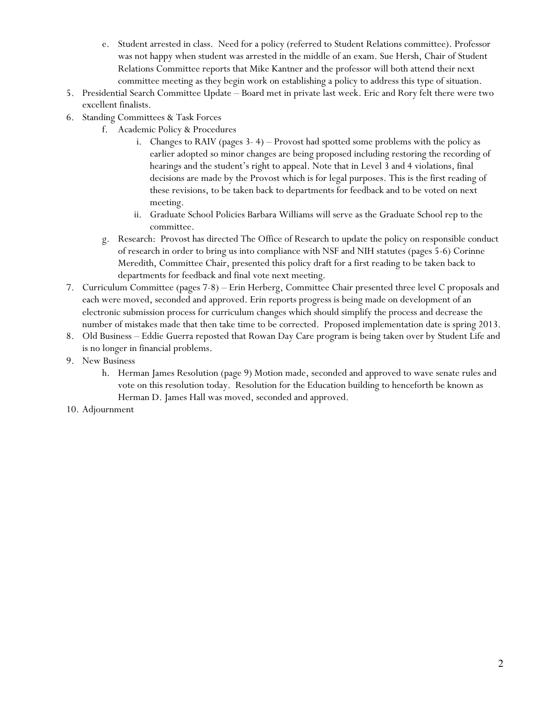- e. Student arrested in class. Need for a policy (referred to Student Relations committee). Professor was not happy when student was arrested in the middle of an exam. Sue Hersh, Chair of Student Relations Committee reports that Mike Kantner and the professor will both attend their next committee meeting as they begin work on establishing a policy to address this type of situation.
- 5. Presidential Search Committee Update Board met in private last week. Eric and Rory felt there were two excellent finalists.
- 6. Standing Committees & Task Forces
	- f. Academic Policy & Procedures
		- i. Changes to RAIV (pages 3- 4) Provost had spotted some problems with the policy as earlier adopted so minor changes are being proposed including restoring the recording of hearings and the student's right to appeal. Note that in Level 3 and 4 violations, final decisions are made by the Provost which is for legal purposes. This is the first reading of these revisions, to be taken back to departments for feedback and to be voted on next meeting.
		- ii. Graduate School Policies Barbara Williams will serve as the Graduate School rep to the committee.
		- g. Research: Provost has directed The Office of Research to update the policy on responsible conduct of research in order to bring us into compliance with NSF and NIH statutes (pages 5-6) Corinne Meredith, Committee Chair, presented this policy draft for a first reading to be taken back to departments for feedback and final vote next meeting.
- 7. Curriculum Committee (pages 7-8) Erin Herberg, Committee Chair presented three level C proposals and each were moved, seconded and approved. Erin reports progress is being made on development of an electronic submission process for curriculum changes which should simplify the process and decrease the number of mistakes made that then take time to be corrected. Proposed implementation date is spring 2013.
- 8. Old Business Eddie Guerra reposted that Rowan Day Care program is being taken over by Student Life and is no longer in financial problems.
- 9. New Business
	- h. Herman James Resolution (page 9) Motion made, seconded and approved to wave senate rules and vote on this resolution today. Resolution for the Education building to henceforth be known as Herman D. James Hall was moved, seconded and approved.
- 10. Adjournment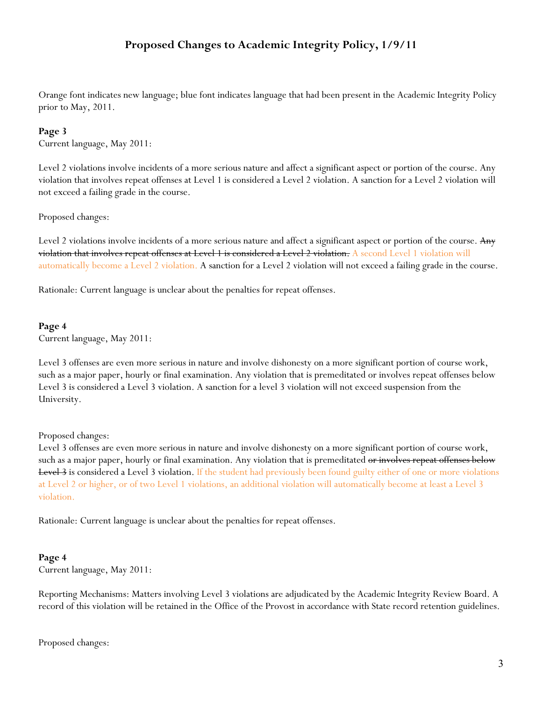## **Proposed Changes to Academic Integrity Policy, 1/9/11**

Orange font indicates new language; blue font indicates language that had been present in the Academic Integrity Policy prior to May, 2011.

#### **Page 3**

Current language, May 2011:

Level 2 violations involve incidents of a more serious nature and affect a significant aspect or portion of the course. Any violation that involves repeat offenses at Level 1 is considered a Level 2 violation. A sanction for a Level 2 violation will not exceed a failing grade in the course.

Proposed changes:

Level 2 violations involve incidents of a more serious nature and affect a significant aspect or portion of the course. Any violation that involves repeat offenses at Level 1 is considered a Level 2 violation. A second Level 1 violation will automatically become a Level 2 violation. A sanction for a Level 2 violation will not exceed a failing grade in the course.

Rationale: Current language is unclear about the penalties for repeat offenses.

#### **Page 4**

Current language, May 2011:

Level 3 offenses are even more serious in nature and involve dishonesty on a more significant portion of course work, such as a major paper, hourly or final examination. Any violation that is premeditated or involves repeat offenses below Level 3 is considered a Level 3 violation. A sanction for a level 3 violation will not exceed suspension from the University.

#### Proposed changes:

Level 3 offenses are even more serious in nature and involve dishonesty on a more significant portion of course work, such as a major paper, hourly or final examination. Any violation that is premeditated <del>or involves repeat offenses below</del> **Level 3** is considered a Level 3 violation. If the student had previously been found guilty either of one or more violations at Level 2 or higher, or of two Level 1 violations, an additional violation will automatically become at least a Level 3 violation.

Rationale: Current language is unclear about the penalties for repeat offenses.

#### **Page 4**

Current language, May 2011:

Reporting Mechanisms: Matters involving Level 3 violations are adjudicated by the Academic Integrity Review Board. A record of this violation will be retained in the Office of the Provost in accordance with State record retention guidelines.

Proposed changes: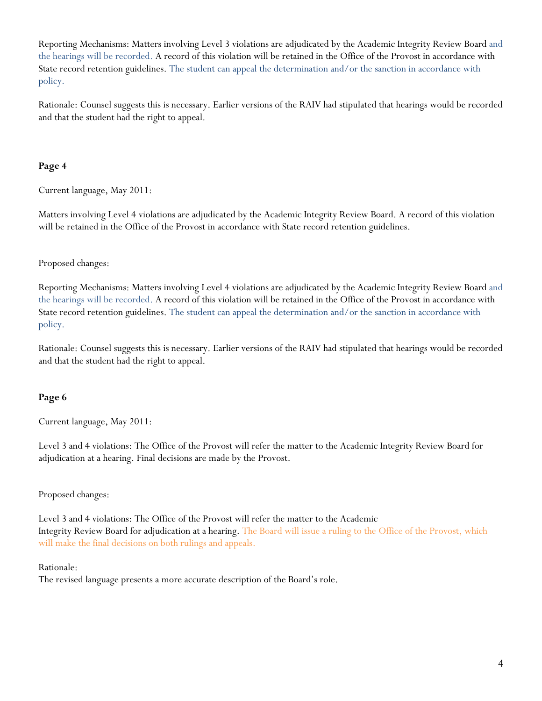Reporting Mechanisms: Matters involving Level 3 violations are adjudicated by the Academic Integrity Review Board and the hearings will be recorded. A record of this violation will be retained in the Office of the Provost in accordance with State record retention guidelines. The student can appeal the determination and/or the sanction in accordance with policy.

Rationale: Counsel suggests this is necessary. Earlier versions of the RAIV had stipulated that hearings would be recorded and that the student had the right to appeal.

## **Page 4**

Current language, May 2011:

Matters involving Level 4 violations are adjudicated by the Academic Integrity Review Board. A record of this violation will be retained in the Office of the Provost in accordance with State record retention guidelines.

## Proposed changes:

Reporting Mechanisms: Matters involving Level 4 violations are adjudicated by the Academic Integrity Review Board and the hearings will be recorded. A record of this violation will be retained in the Office of the Provost in accordance with State record retention guidelines. The student can appeal the determination and/or the sanction in accordance with policy.

Rationale: Counsel suggests this is necessary. Earlier versions of the RAIV had stipulated that hearings would be recorded and that the student had the right to appeal.

## **Page 6**

Current language, May 2011:

Level 3 and 4 violations: The Office of the Provost will refer the matter to the Academic Integrity Review Board for adjudication at a hearing. Final decisions are made by the Provost.

## Proposed changes:

Level 3 and 4 violations: The Office of the Provost will refer the matter to the Academic Integrity Review Board for adjudication at a hearing. The Board will issue a ruling to the Office of the Provost, which will make the final decisions on both rulings and appeals.

#### Rationale:

The revised language presents a more accurate description of the Board's role.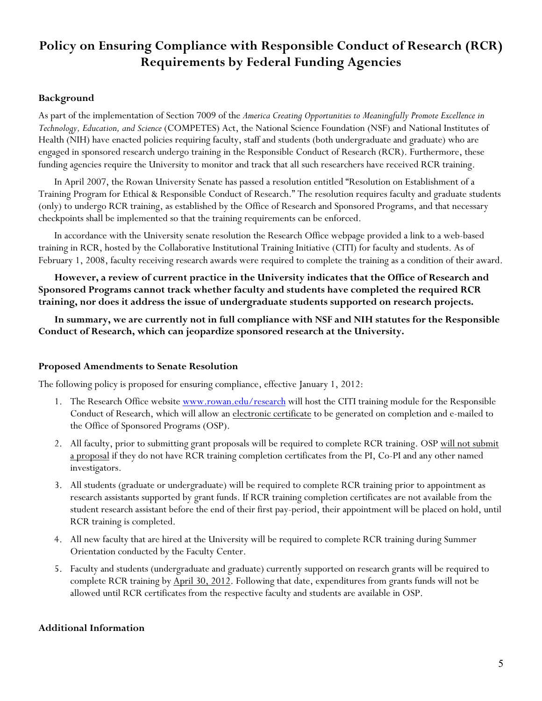# **Policy on Ensuring Compliance with Responsible Conduct of Research (RCR) Requirements by Federal Funding Agencies**

## **Background**

As part of the implementation of Section 7009 of the *America Creating Opportunities to Meaningfully Promote Excellence in Technology, Education, and Science* (COMPETES) Act, the National Science Foundation (NSF) and National Institutes of Health (NIH) have enacted policies requiring faculty, staff and students (both undergraduate and graduate) who are engaged in sponsored research undergo training in the Responsible Conduct of Research (RCR). Furthermore, these funding agencies require the University to monitor and track that all such researchers have received RCR training.

In April 2007, the Rowan University Senate has passed a resolution entitled "Resolution on Establishment of a Training Program for Ethical & Responsible Conduct of Research." The resolution requires faculty and graduate students (only) to undergo RCR training, as established by the Office of Research and Sponsored Programs, and that necessary checkpoints shall be implemented so that the training requirements can be enforced.

In accordance with the University senate resolution the Research Office webpage provided a link to a web-based training in RCR, hosted by the Collaborative Institutional Training Initiative (CITI) for faculty and students. As of February 1, 2008, faculty receiving research awards were required to complete the training as a condition of their award.

**However, a review of current practice in the University indicates that the Office of Research and Sponsored Programs cannot track whether faculty and students have completed the required RCR training, nor does it address the issue of undergraduate students supported on research projects.**

**In summary, we are currently not in full compliance with NSF and NIH statutes for the Responsible Conduct of Research, which can jeopardize sponsored research at the University.**

#### **Proposed Amendments to Senate Resolution**

The following policy is proposed for ensuring compliance, effective January 1, 2012:

- 1. The Research Office website www.rowan.edu/research will host the CITI training module for the Responsible Conduct of Research, which will allow an electronic certificate to be generated on completion and e-mailed to the Office of Sponsored Programs (OSP).
- 2. All faculty, prior to submitting grant proposals will be required to complete RCR training. OSP will not submit a proposal if they do not have RCR training completion certificates from the PI, Co-PI and any other named investigators.
- 3. All students (graduate or undergraduate) will be required to complete RCR training prior to appointment as research assistants supported by grant funds. If RCR training completion certificates are not available from the student research assistant before the end of their first pay-period, their appointment will be placed on hold, until RCR training is completed.
- 4. All new faculty that are hired at the University will be required to complete RCR training during Summer Orientation conducted by the Faculty Center.
- 5. Faculty and students (undergraduate and graduate) currently supported on research grants will be required to complete RCR training by April 30, 2012. Following that date, expenditures from grants funds will not be allowed until RCR certificates from the respective faculty and students are available in OSP.

## **Additional Information**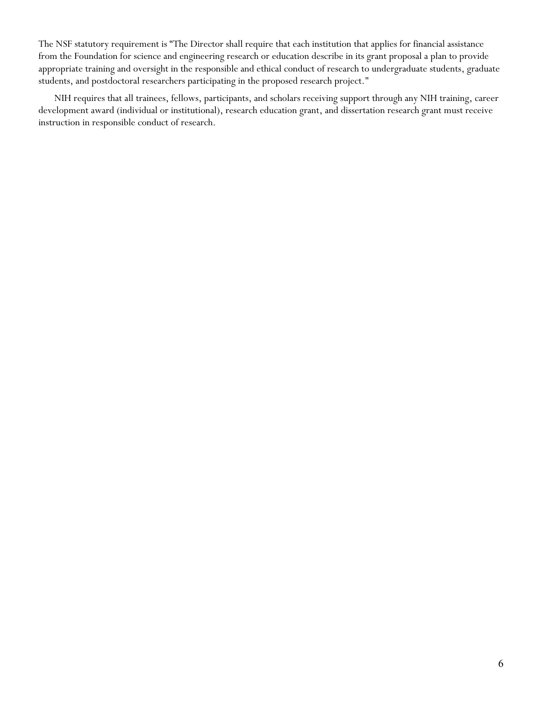The NSF statutory requirement is "The Director shall require that each institution that applies for financial assistance from the Foundation for science and engineering research or education describe in its grant proposal a plan to provide appropriate training and oversight in the responsible and ethical conduct of research to undergraduate students, graduate students, and postdoctoral researchers participating in the proposed research project."

NIH requires that all trainees, fellows, participants, and scholars receiving support through any NIH training, career development award (individual or institutional), research education grant, and dissertation research grant must receive instruction in responsible conduct of research.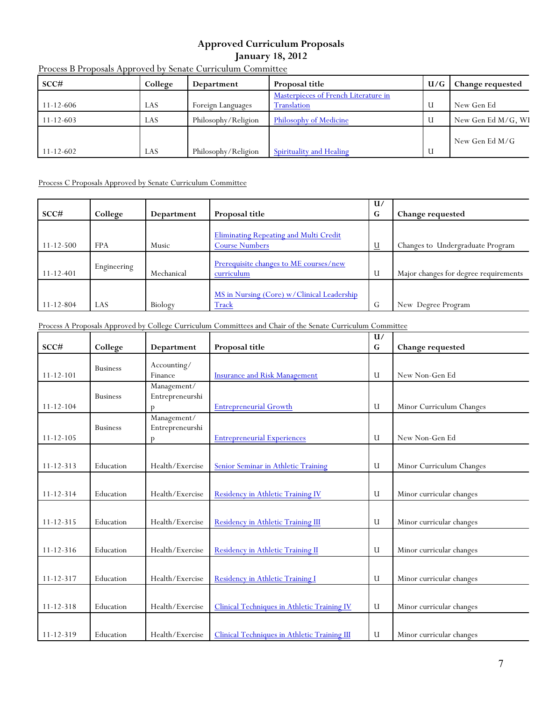## **Approved Curriculum Proposals January 18, 2012**

| SCC#            | College | Department          | Proposal title                                      | U/G | Change requested   |
|-----------------|---------|---------------------|-----------------------------------------------------|-----|--------------------|
| $11 - 12 - 606$ | LAS     | Foreign Languages   | Masterpieces of French Literature in<br>Translation | U   | New Gen Ed         |
| $11 - 12 - 603$ | LAS     | Philosophy/Religion | Philosophy of Medicine                              | U   | New Gen Ed M/G, WI |
| $11 - 12 - 602$ | LAS     | Philosophy/Religion | <b>Spirituality and Healing</b>                     | U   | New Gen Ed M/G     |

#### Process B Proposals Approved by Senate Curriculum Committee

#### Process C Proposals Approved by Senate Curriculum Committee

| SCC#            | College     | Department | Proposal title                                                         | U/<br>G  | <b>Change requested</b>               |
|-----------------|-------------|------------|------------------------------------------------------------------------|----------|---------------------------------------|
| $11 - 12 - 500$ | <b>FPA</b>  | Music      | <b>Eliminating Repeating and Multi Credit</b><br><b>Course Numbers</b> | <u>u</u> | Changes to Undergraduate Program      |
| $11 - 12 - 401$ | Engineering | Mechanical | Prerequisite changes to ME courses/new<br>curriculum                   | U        | Major changes for degree requirements |
| $11 - 12 - 804$ | LAS         | Biology    | MS in Nursing (Core) w/Clinical Leadership<br>Track                    | G        | New Degree Program                    |

Process A Proposals Approved by College Curriculum Committees and Chair of the Senate Curriculum Committee

|                 |                 |                 |                                              | U/        |                          |
|-----------------|-----------------|-----------------|----------------------------------------------|-----------|--------------------------|
| $SCC\#$         | College         | Department      | Proposal title                               | ${\bf G}$ | Change requested         |
|                 | <b>Business</b> | Accounting/     |                                              |           |                          |
| $11 - 12 - 101$ |                 | Finance         | <b>Insurance and Risk Management</b>         | U         | New Non-Gen Ed           |
|                 |                 | Management/     |                                              |           |                          |
|                 | <b>Business</b> | Entrepreneurshi |                                              |           |                          |
| $11 - 12 - 104$ |                 | p               | <b>Entrepreneurial Growth</b>                | U         | Minor Curriculum Changes |
|                 |                 | Management/     |                                              |           |                          |
|                 | <b>Business</b> | Entrepreneurshi |                                              |           |                          |
| $11 - 12 - 105$ |                 | p               | <b>Entrepreneurial Experiences</b>           | U         | New Non-Gen Ed           |
|                 |                 |                 |                                              |           |                          |
| $11 - 12 - 313$ | Education       | Health/Exercise | Senior Seminar in Athletic Training          | U         | Minor Curriculum Changes |
|                 |                 |                 |                                              |           |                          |
| $11 - 12 - 314$ | Education       | Health/Exercise | Residency in Athletic Training IV            | U         | Minor curricular changes |
|                 |                 |                 |                                              |           |                          |
| $11 - 12 - 315$ | Education       | Health/Exercise | Residency in Athletic Training III           | U         | Minor curricular changes |
|                 |                 |                 |                                              |           |                          |
| $11 - 12 - 316$ | Education       | Health/Exercise | Residency in Athletic Training II            | U         | Minor curricular changes |
|                 |                 |                 |                                              |           |                          |
| $11 - 12 - 317$ | Education       | Health/Exercise | Residency in Athletic Training I             | U         | Minor curricular changes |
|                 |                 |                 |                                              |           |                          |
|                 |                 |                 |                                              |           |                          |
| $11 - 12 - 318$ | Education       | Health/Exercise | Clinical Techniques in Athletic Training IV  | U         | Minor curricular changes |
|                 |                 |                 |                                              |           |                          |
| $11 - 12 - 319$ | Education       | Health/Exercise | Clinical Techniques in Athletic Training III | U         | Minor curricular changes |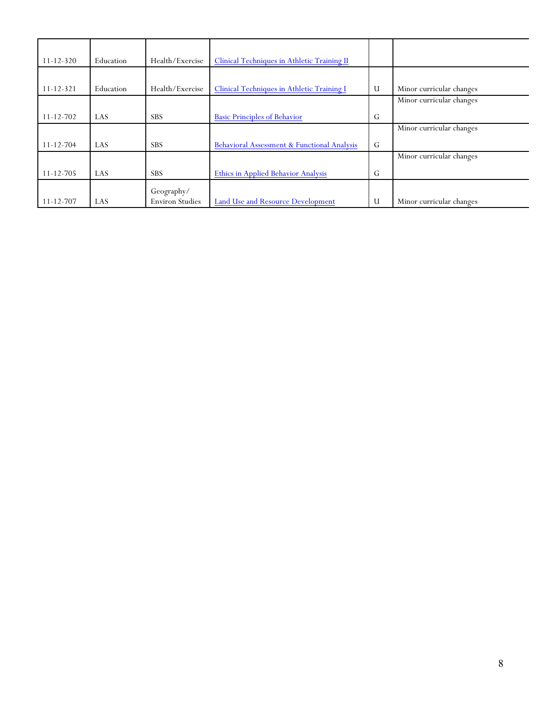| $11 - 12 - 320$ | Education | Health/Exercise        | Clinical Techniques in Athletic Training II |   |                          |
|-----------------|-----------|------------------------|---------------------------------------------|---|--------------------------|
|                 |           |                        |                                             |   |                          |
| $11 - 12 - 321$ | Education | Health/Exercise        | Clinical Techniques in Athletic Training I  | U | Minor curricular changes |
|                 |           |                        |                                             |   | Minor curricular changes |
| $11 - 12 - 702$ | LAS       | <b>SBS</b>             | <b>Basic Principles of Behavior</b>         | G |                          |
|                 |           |                        |                                             |   | Minor curricular changes |
| $11 - 12 - 704$ | LAS       | <b>SBS</b>             | Behavioral Assessment & Functional Analysis | G |                          |
|                 |           |                        |                                             |   | Minor curricular changes |
| $11 - 12 - 705$ | LAS       | <b>SBS</b>             | <b>Ethics in Applied Behavior Analysis</b>  | G |                          |
|                 |           | Geography/             |                                             |   |                          |
| $11 - 12 - 707$ | LAS       | <b>Environ Studies</b> | Land Use and Resource Development           | U | Minor curricular changes |